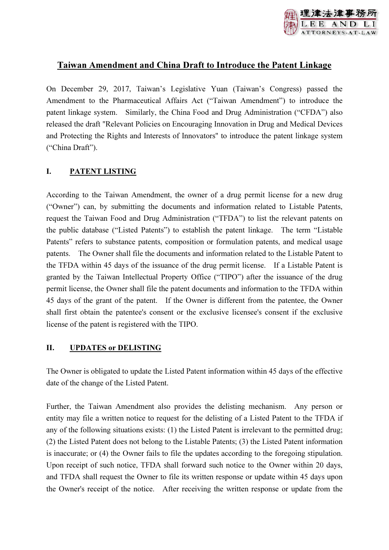

# Taiwan Amendment and China Draft to Introduce the Patent Linkage

On December 29, 2017, Taiwan's Legislative Yuan (Taiwan's Congress) passed the Amendment to the Pharmaceutical Affairs Act ("Taiwan Amendment") to introduce the patent linkage system. Similarly, the China Food and Drug Administration ("CFDA") also released the draft "Relevant Policies on Encouraging Innovation in Drug and Medical Devices and Protecting the Rights and Interests of Innovators" to introduce the patent linkage system ("China Draft").

## I. PATENT LISTING

According to the Taiwan Amendment, the owner of a drug permit license for a new drug ("Owner") can, by submitting the documents and information related to Listable Patents, request the Taiwan Food and Drug Administration ("TFDA") to list the relevant patents on the public database ("Listed Patents") to establish the patent linkage. The term "Listable Patents" refers to substance patents, composition or formulation patents, and medical usage patents. The Owner shall file the documents and information related to the Listable Patent to the TFDA within 45 days of the issuance of the drug permit license. If a Listable Patent is granted by the Taiwan Intellectual Property Office ("TIPO") after the issuance of the drug permit license, the Owner shall file the patent documents and information to the TFDA within 45 days of the grant of the patent. If the Owner is different from the patentee, the Owner shall first obtain the patentee's consent or the exclusive licensee's consent if the exclusive license of the patent is registered with the TIPO.

## II. UPDATES or DELISTING

The Owner is obligated to update the Listed Patent information within 45 days of the effective date of the change of the Listed Patent.

Further, the Taiwan Amendment also provides the delisting mechanism. Any person or entity may file a written notice to request for the delisting of a Listed Patent to the TFDA if any of the following situations exists: (1) the Listed Patent is irrelevant to the permitted drug; (2) the Listed Patent does not belong to the Listable Patents; (3) the Listed Patent information is inaccurate; or (4) the Owner fails to file the updates according to the foregoing stipulation. Upon receipt of such notice, TFDA shall forward such notice to the Owner within 20 days, and TFDA shall request the Owner to file its written response or update within 45 days upon the Owner's receipt of the notice. After receiving the written response or update from the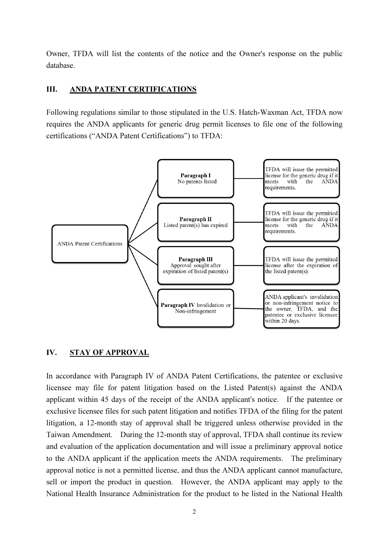Owner, TFDA will list the contents of the notice and the Owner's response on the public database.

#### III. ANDA PATENT CERTIFICATIONS

Following regulations similar to those stipulated in the U.S. Hatch-Waxman Act, TFDA now requires the ANDA applicants for generic drug permit licenses to file one of the following certifications ("ANDA Patent Certifications") to TFDA:



#### IV. STAY OF APPROVAL

In accordance with Paragraph IV of ANDA Patent Certifications, the patentee or exclusive licensee may file for patent litigation based on the Listed Patent(s) against the ANDA applicant within 45 days of the receipt of the ANDA applicant's notice. If the patentee or exclusive licensee files for such patent litigation and notifies TFDA of the filing for the patent litigation, a 12-month stay of approval shall be triggered unless otherwise provided in the Taiwan Amendment. During the 12-month stay of approval, TFDA shall continue its review and evaluation of the application documentation and will issue a preliminary approval notice to the ANDA applicant if the application meets the ANDA requirements. The preliminary approval notice is not a permitted license, and thus the ANDA applicant cannot manufacture, sell or import the product in question. However, the ANDA applicant may apply to the National Health Insurance Administration for the product to be listed in the National Health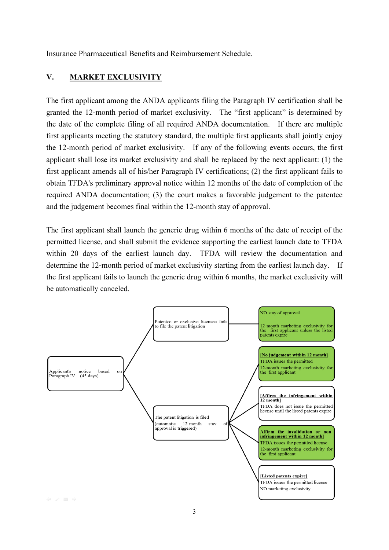Insurance Pharmaceutical Benefits and Reimbursement Schedule.

### V. MARKET EXCLUSIVITY

The first applicant among the ANDA applicants filing the Paragraph IV certification shall be granted the 12-month period of market exclusivity. The "first applicant" is determined by the date of the complete filing of all required ANDA documentation. If there are multiple first applicants meeting the statutory standard, the multiple first applicants shall jointly enjoy the 12-month period of market exclusivity. If any of the following events occurs, the first applicant shall lose its market exclusivity and shall be replaced by the next applicant: (1) the first applicant amends all of his/her Paragraph IV certifications; (2) the first applicant fails to obtain TFDA's preliminary approval notice within 12 months of the date of completion of the required ANDA documentation; (3) the court makes a favorable judgement to the patentee and the judgement becomes final within the 12-month stay of approval.

The first applicant shall launch the generic drug within 6 months of the date of receipt of the permitted license, and shall submit the evidence supporting the earliest launch date to TFDA within 20 days of the earliest launch day. TFDA will review the documentation and determine the 12-month period of market exclusivity starting from the earliest launch day. If the first applicant fails to launch the generic drug within 6 months, the market exclusivity will be automatically canceled.